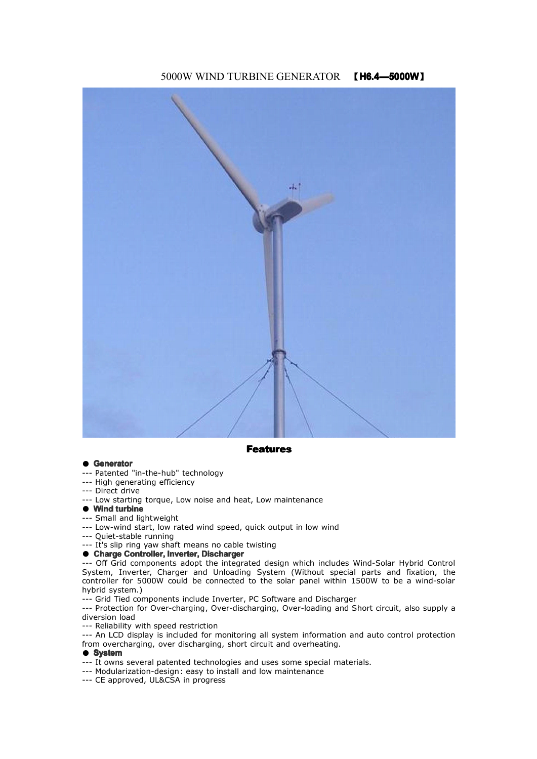## 5000W WIND TURBINE GENERATOR 【**H6.4—5000W**】



**Features Features**

#### **Generator**

- ---Patented "in-the-hub" technology
- --- High generating efficiency
- --- Direct drive
- --- Low starting torque, Low noise and heat, Low maintenance
	- **Wind turbine turbine**
- --- Small and lightweight
- --- Low-wind start, low rated wind speed, quick output in low wind
- --- Quiet-stable running
- --- It's slip ring yaw shaft means no cable twisting

#### ● **Charge Controller, Inverter, Discharger Discharger**

--- Off Grid components adopt the integrated design which includes Wind-Solar Hybrid Control System, Inverter, Charger and Unloading System (Without special parts and fixation, the controller for 5000W could be connected to the solar panel within 1500W to be <sup>a</sup> wind-solar hybrid system.)

--- Grid Tied components include Inverter, PC Software and Discharger

--- Protection for Over-charging, Over-discharging, Over-loading and Short circuit, also supply <sup>a</sup> diversion load

--- Reliability with speed restriction

--- An LCD display is included for monitoring all system information and auto control protection from overcharging, over discharging, short circuit and overheating.

#### ● **System**

- --- It owns several patented technologies and uses some special materials.
- --- Modularization-design: easy to install and low maintenance
- --- CE approved, UL&CSA in progress